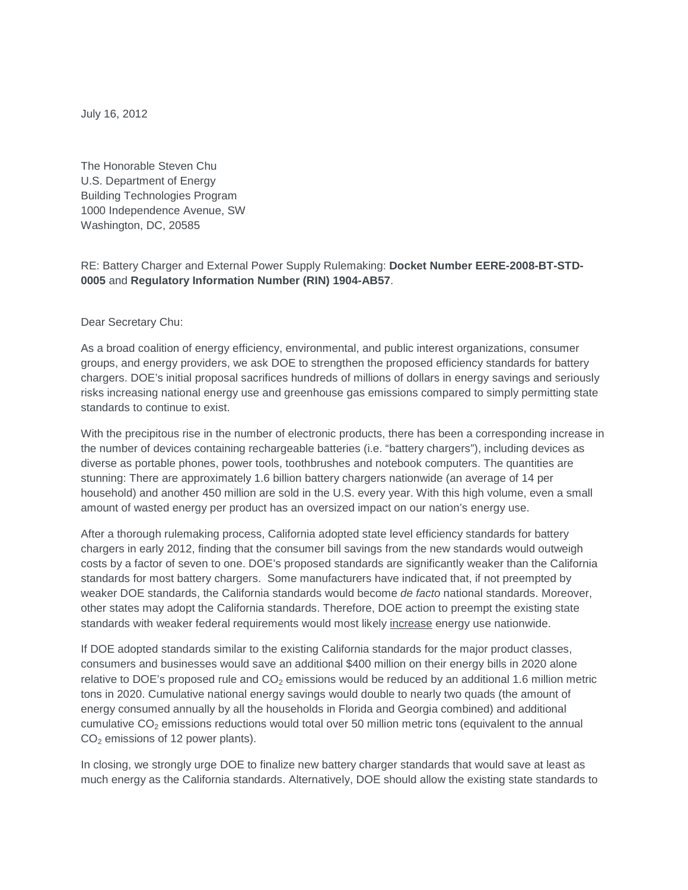July 16, 2012

The Honorable Steven Chu U.S. Department of Energy Building Technologies Program 1000 Independence Avenue, SW Washington, DC, 20585

RE: Battery Charger and External Power Supply Rulemaking: **Docket Number EERE-2008-BT-STD-0005** and **Regulatory Information Number (RIN) 1904-AB57**.

Dear Secretary Chu:

As a broad coalition of energy efficiency, environmental, and public interest organizations, consumer groups, and energy providers, we ask DOE to strengthen the proposed efficiency standards for battery chargers. DOE's initial proposal sacrifices hundreds of millions of dollars in energy savings and seriously risks increasing national energy use and greenhouse gas emissions compared to simply permitting state standards to continue to exist.

With the precipitous rise in the number of electronic products, there has been a corresponding increase in the number of devices containing rechargeable batteries (i.e. "battery chargers"), including devices as diverse as portable phones, power tools, toothbrushes and notebook computers. The quantities are stunning: There are approximately 1.6 billion battery chargers nationwide (an average of 14 per household) and another 450 million are sold in the U.S. every year. With this high volume, even a small amount of wasted energy per product has an oversized impact on our nation's energy use.

After a thorough rulemaking process, California adopted state level efficiency standards for battery chargers in early 2012, finding that the consumer bill savings from the new standards would outweigh costs by a factor of seven to one. DOE's proposed standards are significantly weaker than the California standards for most battery chargers. Some manufacturers have indicated that, if not preempted by weaker DOE standards, the California standards would become *de facto* national standards. Moreover, other states may adopt the California standards. Therefore, DOE action to preempt the existing state standards with weaker federal requirements would most likely increase energy use nationwide.

If DOE adopted standards similar to the existing California standards for the major product classes, consumers and businesses would save an additional \$400 million on their energy bills in 2020 alone relative to DOE's proposed rule and  $CO<sub>2</sub>$  emissions would be reduced by an additional 1.6 million metric tons in 2020. Cumulative national energy savings would double to nearly two quads (the amount of energy consumed annually by all the households in Florida and Georgia combined) and additional cumulative  $CO<sub>2</sub>$  emissions reductions would total over 50 million metric tons (equivalent to the annual  $CO<sub>2</sub>$  emissions of 12 power plants).

In closing, we strongly urge DOE to finalize new battery charger standards that would save at least as much energy as the California standards. Alternatively, DOE should allow the existing state standards to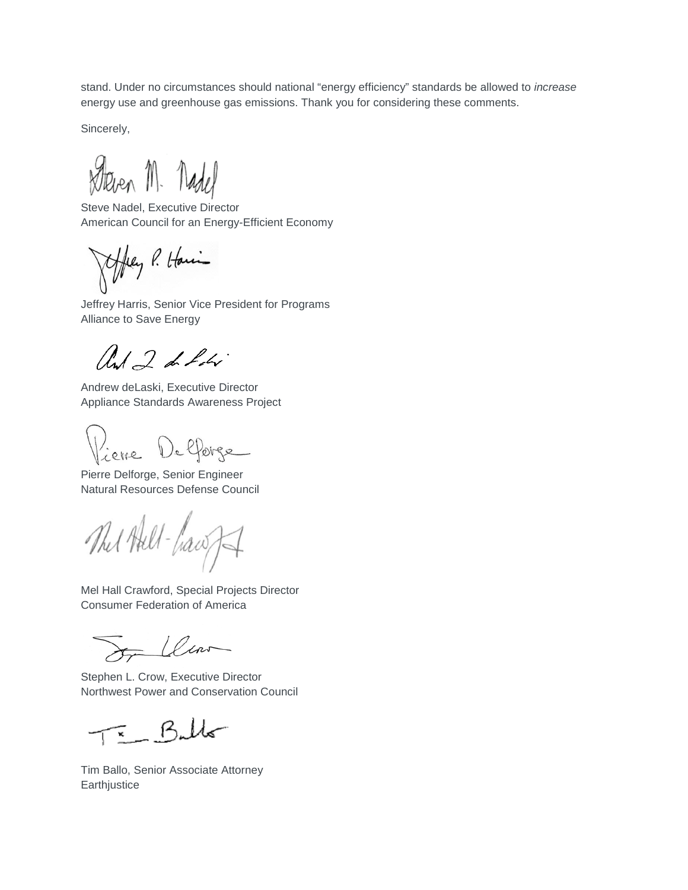stand. Under no circumstances should national "energy efficiency" standards be allowed to *increase*  energy use and greenhouse gas emissions. Thank you for considering these comments.

Sincerely,

Deven M. Nadel

Steve Nadel, Executive Director American Council for an Energy-Efficient Economy

they P. Having

Jeffrey Harris, Senior Vice President for Programs Alliance to Save Energy

and 2 de hobri

Andrew deLaski, Executive Director Appliance Standards Awareness Project

lieve Defforge

Pierre Delforge, Senior Engineer Natural Resources Defense Council

The Hill-hawf

Mel Hall Crawford, Special Projects Director Consumer Federation of America

Llav

Stephen L. Crow, Executive Director Northwest Power and Conservation Council

 $=$  Buller

Tim Ballo, Senior Associate Attorney **Earthjustice**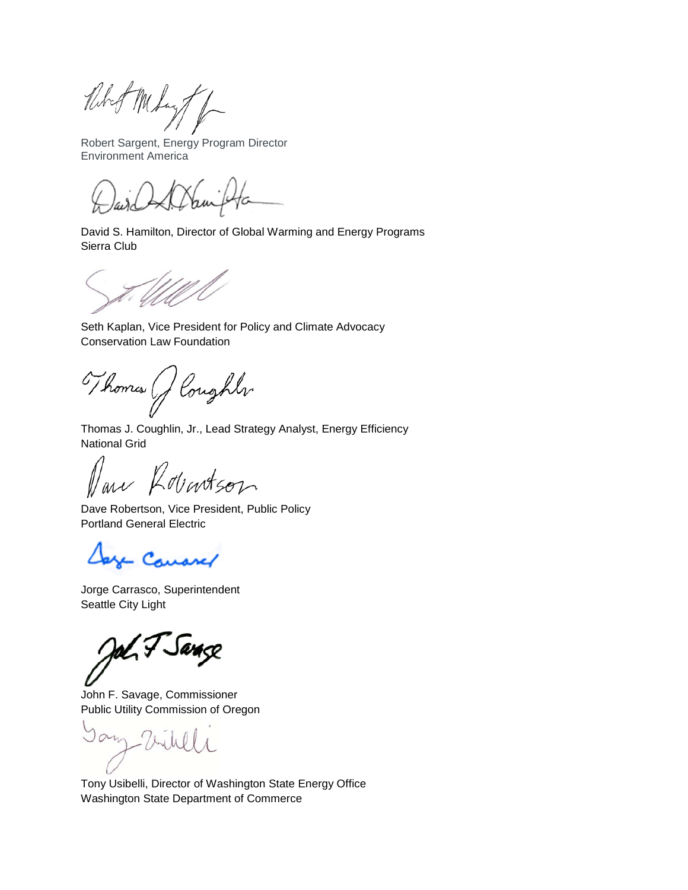Ribert Meday /

Robert Sargent, Energy Program Director Environment America

David S. Hamilton, Director of Global Warming and Energy Programs Sierra Club

Seth Kaplan, Vice President for Policy and Climate Advocacy Conservation Law Foundation

Thomas (J Coughly

Thomas J. Coughlin, Jr., Lead Strategy Analyst, Energy Efficiency National Grid

an Robertson

Dave Robertson, Vice President, Public Policy Portland General Electric

y Course/

Jorge Carrasco, Superintendent Seattle City Light

amco

John F. Savage, Commissioner Public Utility Commission of Oregon

- Vinly

Tony Usibelli, Director of Washington State Energy Office Washington State Department of Commerce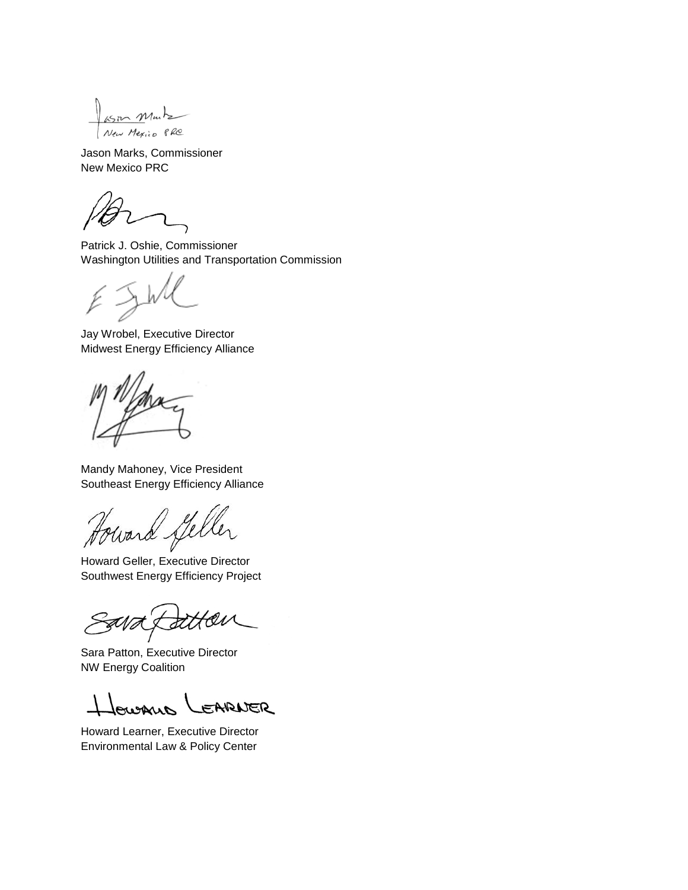$asm$  Muntz New Mexico PRO

Jason Marks, Commissioner New Mexico PRC

Patrick J. Oshie, Commissioner Washington Utilities and Transportation Commission

Jay Wrobel, Executive Director Midwest Energy Efficiency Alliance

Mandy Mahoney, Vice President Southeast Energy Efficiency Alliance

Howard Steller

Southwest Energy Efficiency Project

Sara Patton, Executive Director NW Energy Coalition

oughis EARNER

Howard Learner, Executive Director Environmental Law & Policy Center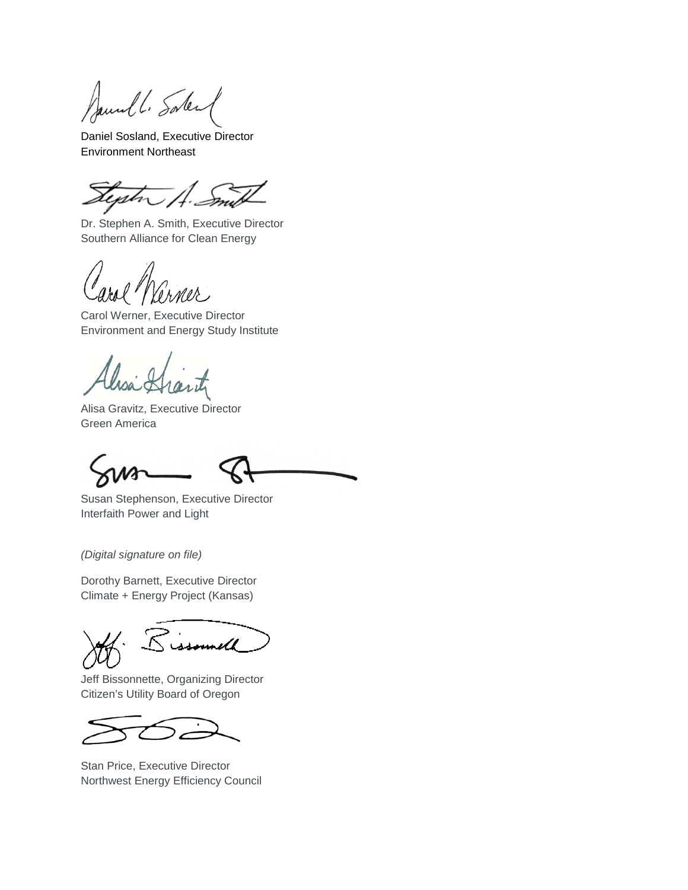Saund L. Solen

Daniel Sosland, Executive Director Environment Northeast

.<br>M

Dr. Stephen A. Smith, Executive Director Southern Alliance for Clean Energy

Carol Werner, Executive Director Environment and Energy Study Institute

Alisa Gravitz, Executive Director Green America

Susan Stephenson, Executive Director Interfaith Power and Light

*(Digital signature on file)*

Dorothy Barnett, Executive Director Climate + Energy Project (Kansas)

Jeff Bissonnette, Organizing Director Citizen's Utility Board of Oregon

Stan Price, Executive Director Northwest Energy Efficiency Council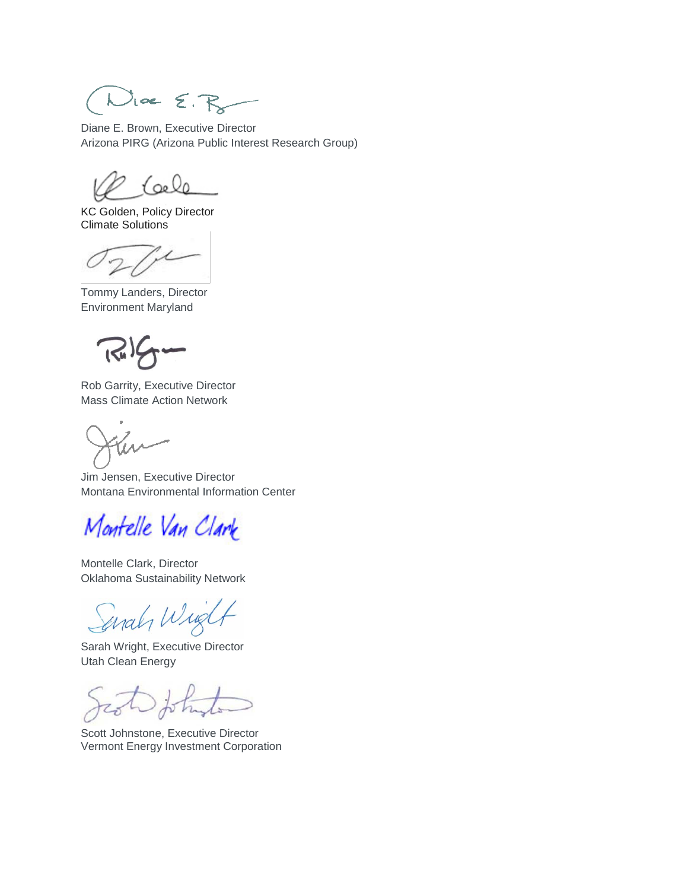$Mee$   $\epsilon$ .  $R_8$ 

Diane E. Brown, Executive Director Arizona PIRG (Arizona Public Interest Research Group)

<u>(oele</u>

KC Golden, Policy Director Climate Solutions

Tommy Landers, Director Environment Maryland

Rob Garrity, Executive Director Mass Climate Action Network

Jim Jensen, Executive Director Montana Environmental Information Center

Montelle Van Clark

Montelle Clark, Director Oklahoma Sustainability Network

anah Wind

Sarah Wright, Executive Director Utah Clean Energy

Scott Johnstone, Executive Director Vermont Energy Investment Corporation